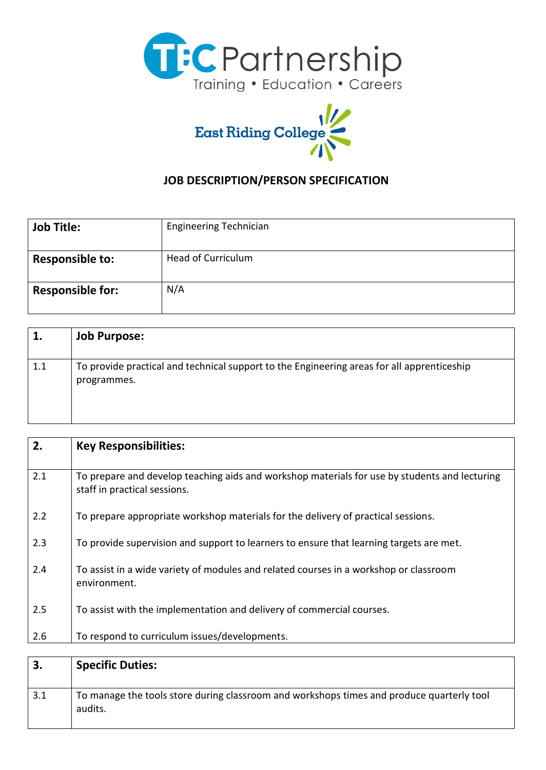



## **JOB DESCRIPTION/PERSON SPECIFICATION**

| <b>Job Title:</b>       | <b>Engineering Technician</b> |
|-------------------------|-------------------------------|
| <b>Responsible to:</b>  | <b>Head of Curriculum</b>     |
| <b>Responsible for:</b> | N/A                           |

| 1.  | <b>Job Purpose:</b>                                                                                       |
|-----|-----------------------------------------------------------------------------------------------------------|
| 1.1 | To provide practical and technical support to the Engineering areas for all apprenticeship<br>programmes. |

| 2.  | <b>Key Responsibilities:</b>                                                                                                  |
|-----|-------------------------------------------------------------------------------------------------------------------------------|
| 2.1 | To prepare and develop teaching aids and workshop materials for use by students and lecturing<br>staff in practical sessions. |
| 2.2 | To prepare appropriate workshop materials for the delivery of practical sessions.                                             |
| 2.3 | To provide supervision and support to learners to ensure that learning targets are met.                                       |
| 2.4 | To assist in a wide variety of modules and related courses in a workshop or classroom<br>environment.                         |
| 2.5 | To assist with the implementation and delivery of commercial courses.                                                         |
| 2.6 | To respond to curriculum issues/developments.                                                                                 |
|     |                                                                                                                               |
| 3.  | <b>Specific Duties:</b>                                                                                                       |

| 3.1 | To manage the tools store during classroom and workshops times and produce quarterly tool<br>audits. |
|-----|------------------------------------------------------------------------------------------------------|
|     |                                                                                                      |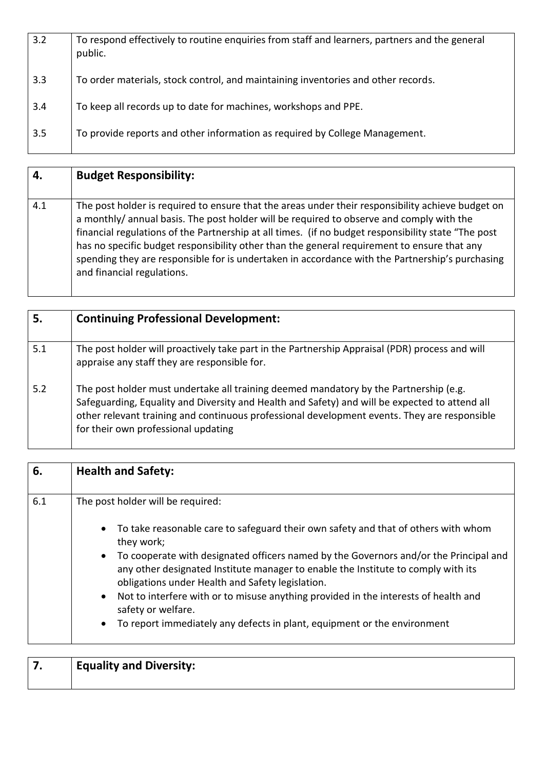| 3.2 | To respond effectively to routine enquiries from staff and learners, partners and the general<br>public. |
|-----|----------------------------------------------------------------------------------------------------------|
| 3.3 | To order materials, stock control, and maintaining inventories and other records.                        |
| 3.4 | To keep all records up to date for machines, workshops and PPE.                                          |
| 3.5 | To provide reports and other information as required by College Management.                              |

| 4.  | <b>Budget Responsibility:</b>                                                                                                                                                                                                                                                                                                                                                                                                                                                                                                        |
|-----|--------------------------------------------------------------------------------------------------------------------------------------------------------------------------------------------------------------------------------------------------------------------------------------------------------------------------------------------------------------------------------------------------------------------------------------------------------------------------------------------------------------------------------------|
| 4.1 | The post holder is required to ensure that the areas under their responsibility achieve budget on<br>a monthly/ annual basis. The post holder will be required to observe and comply with the<br>financial regulations of the Partnership at all times. (if no budget responsibility state "The post<br>has no specific budget responsibility other than the general requirement to ensure that any<br>spending they are responsible for is undertaken in accordance with the Partnership's purchasing<br>and financial regulations. |

| 5.  | <b>Continuing Professional Development:</b>                                                                                                                                                                                                                                                                                    |
|-----|--------------------------------------------------------------------------------------------------------------------------------------------------------------------------------------------------------------------------------------------------------------------------------------------------------------------------------|
| 5.1 | The post holder will proactively take part in the Partnership Appraisal (PDR) process and will<br>appraise any staff they are responsible for.                                                                                                                                                                                 |
| 5.2 | The post holder must undertake all training deemed mandatory by the Partnership (e.g.<br>Safeguarding, Equality and Diversity and Health and Safety) and will be expected to attend all<br>other relevant training and continuous professional development events. They are responsible<br>for their own professional updating |

| 6.  | <b>Health and Safety:</b>                                                                                                                                                                                                                   |
|-----|---------------------------------------------------------------------------------------------------------------------------------------------------------------------------------------------------------------------------------------------|
| 6.1 | The post holder will be required:                                                                                                                                                                                                           |
|     | To take reasonable care to safeguard their own safety and that of others with whom<br>$\bullet$<br>they work;                                                                                                                               |
|     | To cooperate with designated officers named by the Governors and/or the Principal and<br>$\bullet$<br>any other designated Institute manager to enable the Institute to comply with its<br>obligations under Health and Safety legislation. |
|     | Not to interfere with or to misuse anything provided in the interests of health and<br>$\bullet$<br>safety or welfare.                                                                                                                      |
|     | To report immediately any defects in plant, equipment or the environment<br>$\bullet$                                                                                                                                                       |

| <b>Equality and Diversity:</b> |
|--------------------------------|
|                                |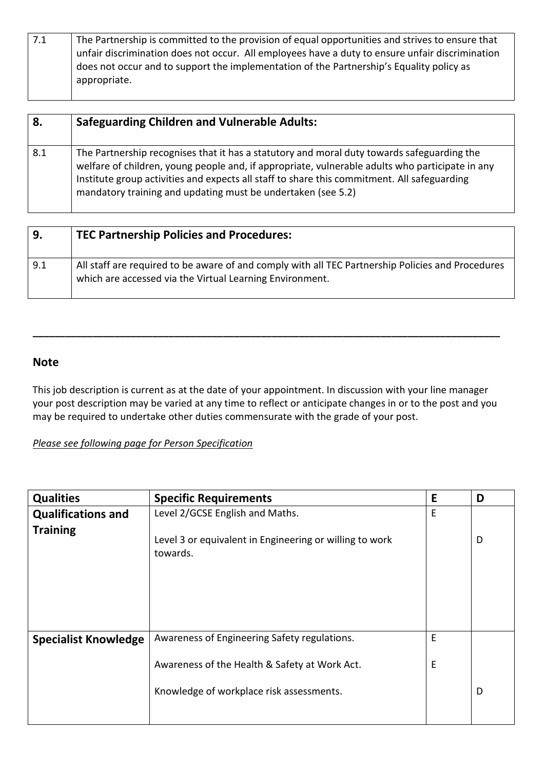| 7.1 | The Partnership is committed to the provision of equal opportunities and strives to ensure that |
|-----|-------------------------------------------------------------------------------------------------|
|     | unfair discrimination does not occur. All employees have a duty to ensure unfair discrimination |
|     | does not occur and to support the implementation of the Partnership's Equality policy as        |
|     | appropriate.                                                                                    |

| 8.  | <b>Safeguarding Children and Vulnerable Adults:</b>                                                                                                                                                                                                                                                                                                          |
|-----|--------------------------------------------------------------------------------------------------------------------------------------------------------------------------------------------------------------------------------------------------------------------------------------------------------------------------------------------------------------|
| 8.1 | The Partnership recognises that it has a statutory and moral duty towards safeguarding the<br>welfare of children, young people and, if appropriate, vulnerable adults who participate in any<br>Institute group activities and expects all staff to share this commitment. All safeguarding<br>mandatory training and updating must be undertaken (see 5.2) |

| 9.  | <b>TEC Partnership Policies and Procedures:</b>                                                                                                               |
|-----|---------------------------------------------------------------------------------------------------------------------------------------------------------------|
| 9.1 | All staff are required to be aware of and comply with all TEC Partnership Policies and Procedures<br>which are accessed via the Virtual Learning Environment. |

## **Note**

This job description is current as at the date of your appointment. In discussion with your line manager your post description may be varied at any time to reflect or anticipate changes in or to the post and you may be required to undertake other duties commensurate with the grade of your post.

**\_\_\_\_\_\_\_\_\_\_\_\_\_\_\_\_\_\_\_\_\_\_\_\_\_\_\_\_\_\_\_\_\_\_\_\_\_\_\_\_\_\_\_\_\_\_\_\_\_\_\_\_\_\_\_\_\_\_\_\_\_\_\_\_\_\_\_\_\_\_\_\_\_\_\_\_\_\_\_\_\_\_\_\_\_\_** 

*Please see following page for Person Specification*

| <b>Qualities</b>            | <b>Specific Requirements</b>                                        | E | D |
|-----------------------------|---------------------------------------------------------------------|---|---|
| <b>Qualifications and</b>   | Level 2/GCSE English and Maths.                                     | Е |   |
| <b>Training</b>             |                                                                     |   |   |
|                             | Level 3 or equivalent in Engineering or willing to work<br>towards. |   | D |
|                             |                                                                     |   |   |
|                             |                                                                     |   |   |
|                             |                                                                     |   |   |
| <b>Specialist Knowledge</b> | Awareness of Engineering Safety regulations.                        | E |   |
|                             | Awareness of the Health & Safety at Work Act.                       | E |   |
|                             | Knowledge of workplace risk assessments.                            |   | D |
|                             |                                                                     |   |   |